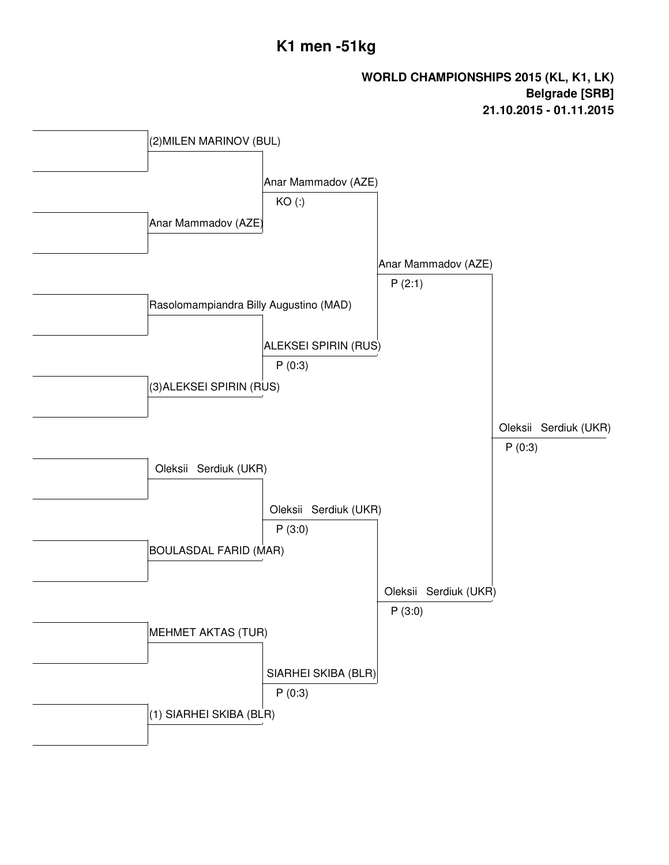# **K1 men -51kg**

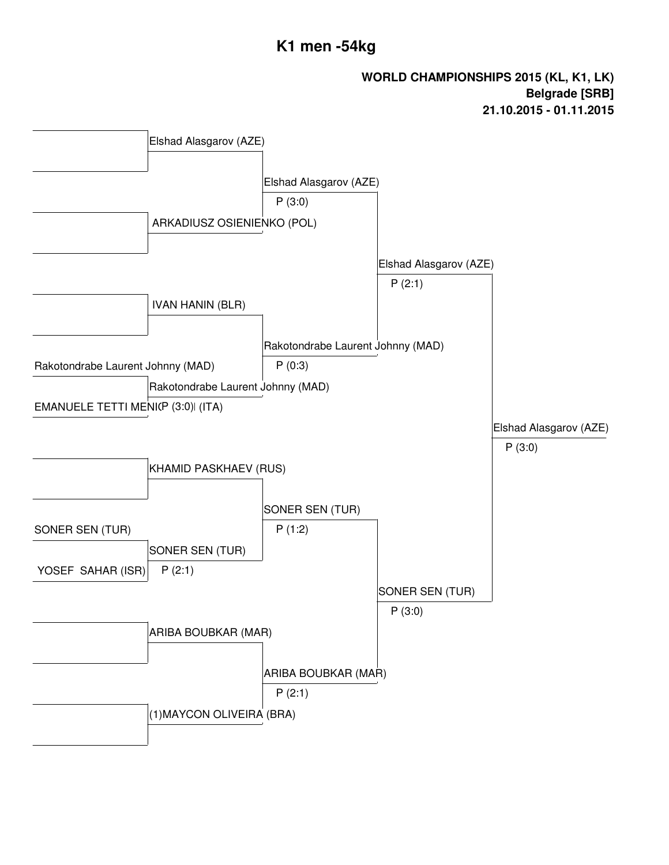# **K1 men -54kg**

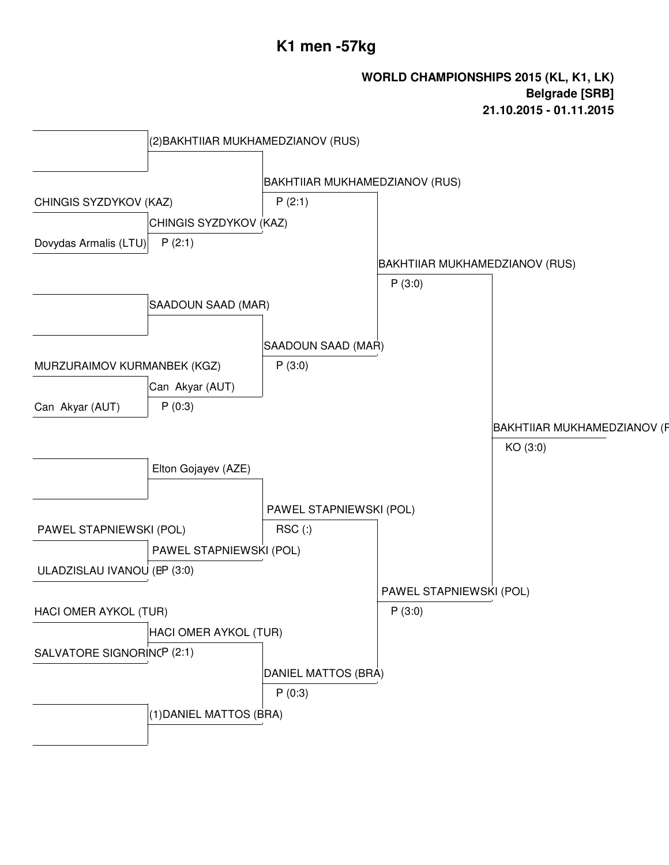# **K1 men -57kg**

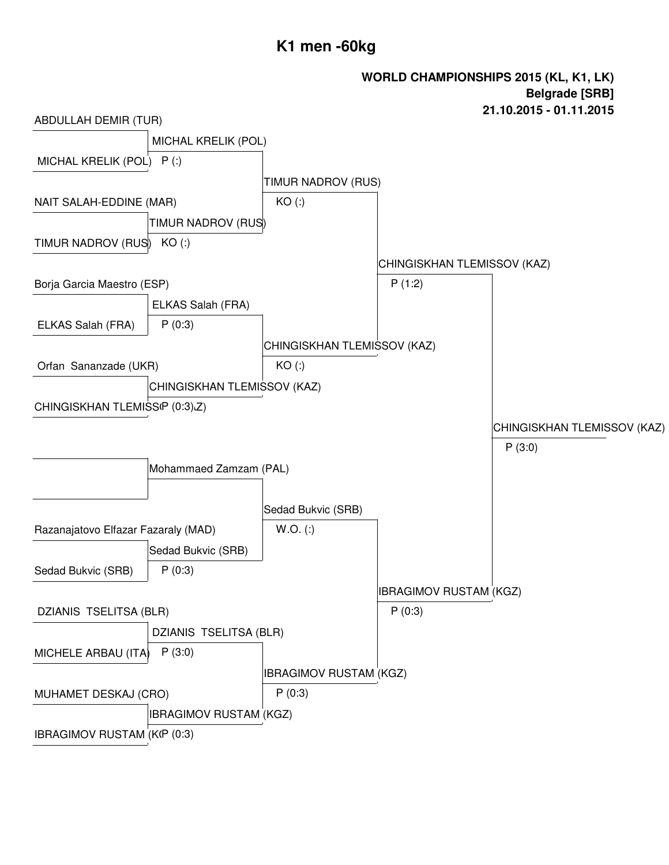# **K1 men -60kg**

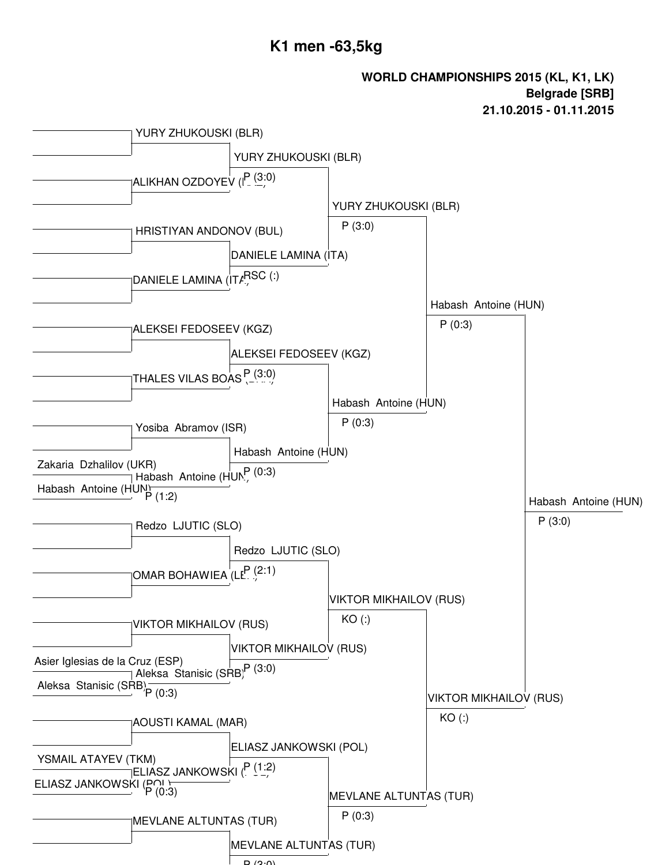

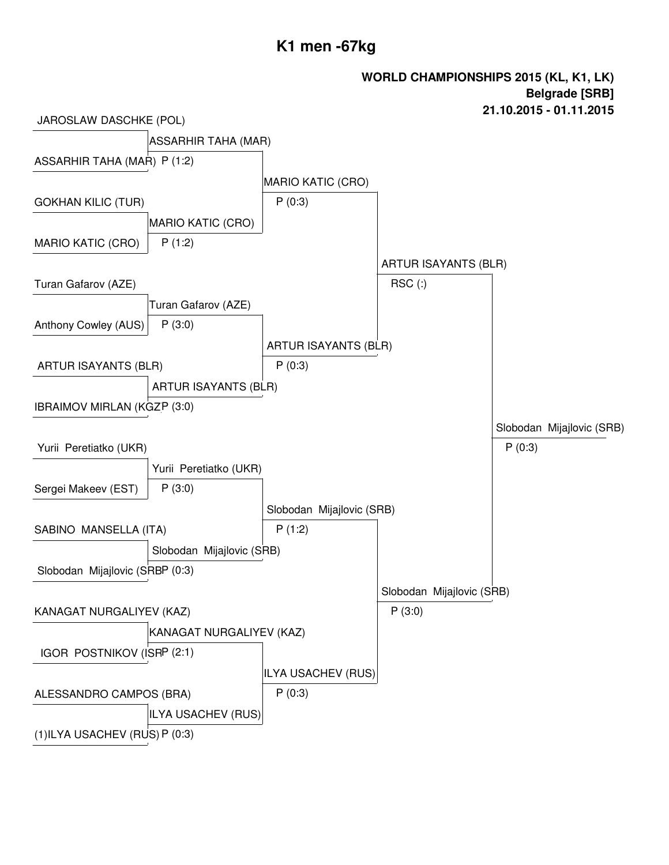## **K1 men -67kg**

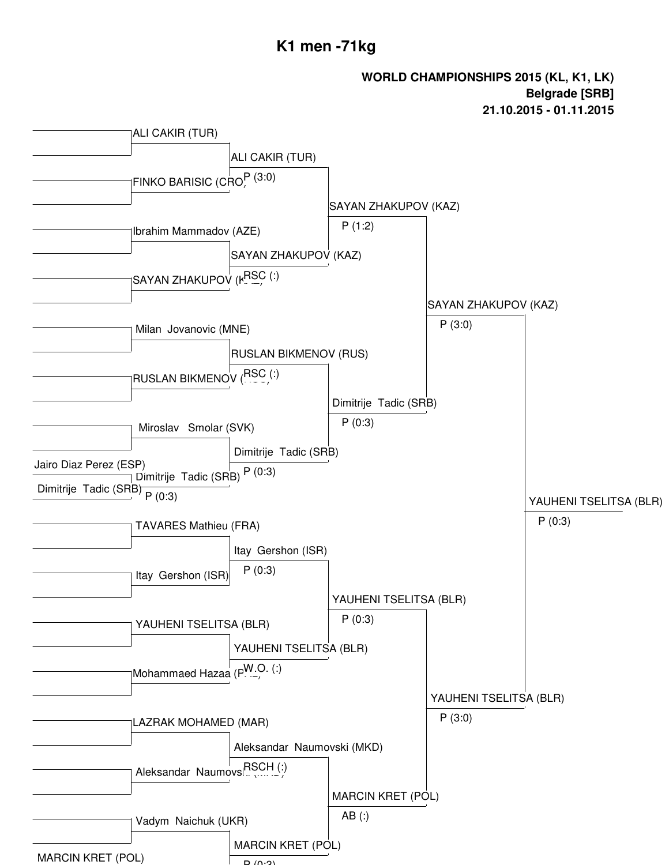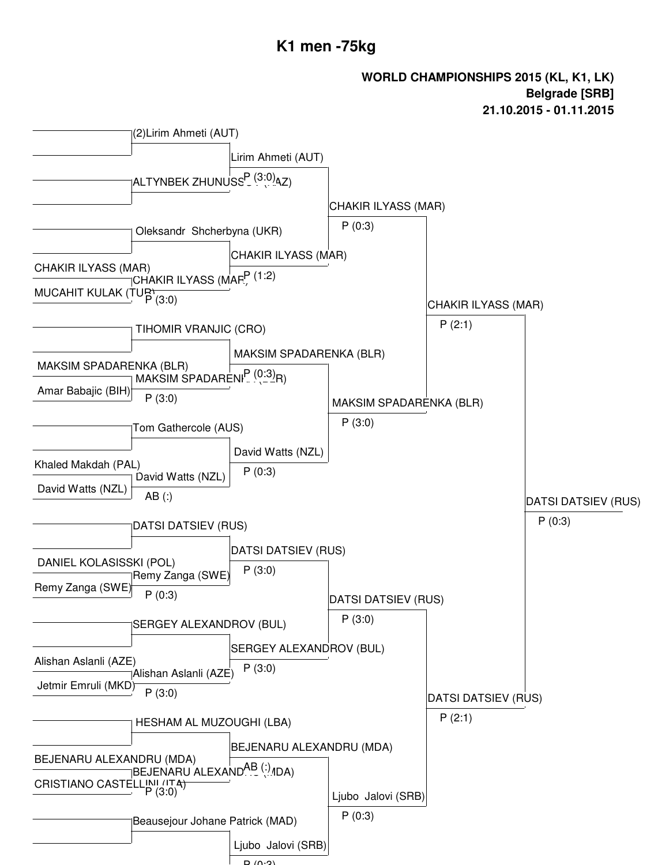### **K1 men -75kg**

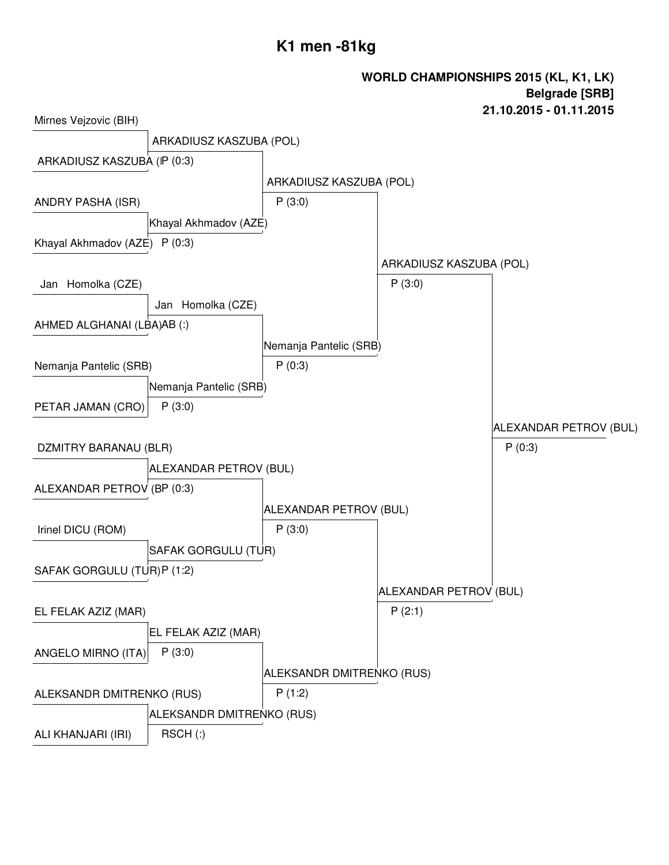# **K1 men -81kg**

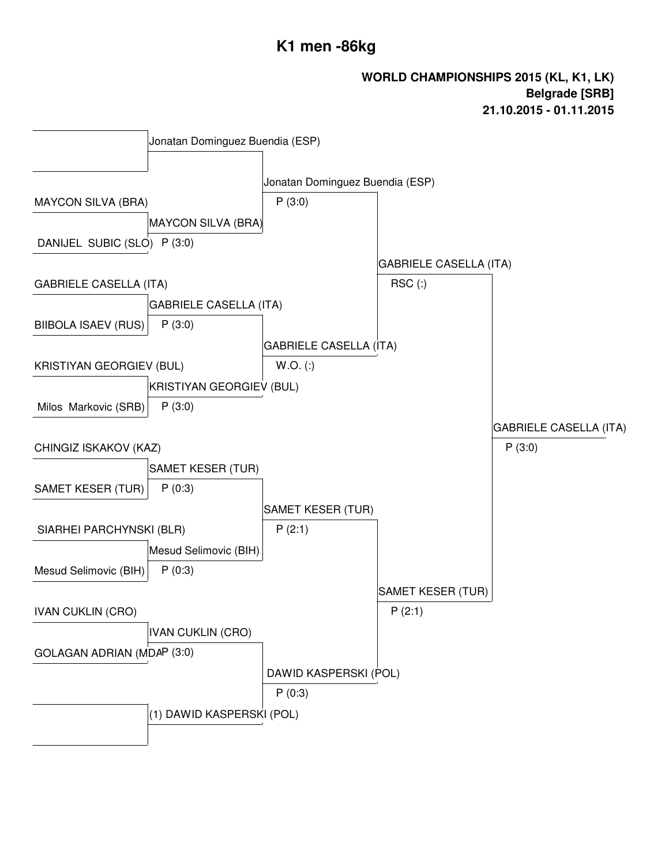# **K1 men -86kg**

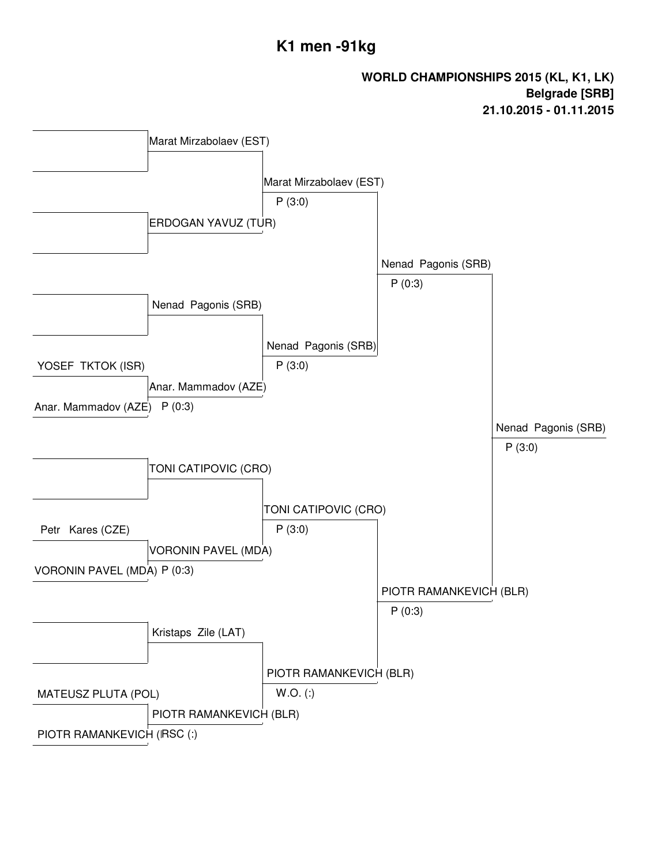# **K1 men -91kg**

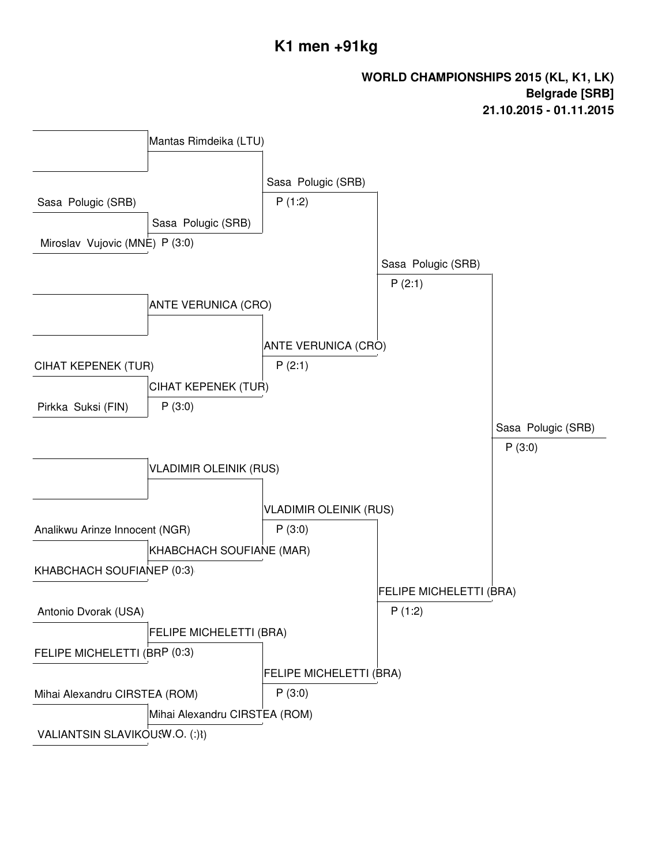# **K1 men +91kg**

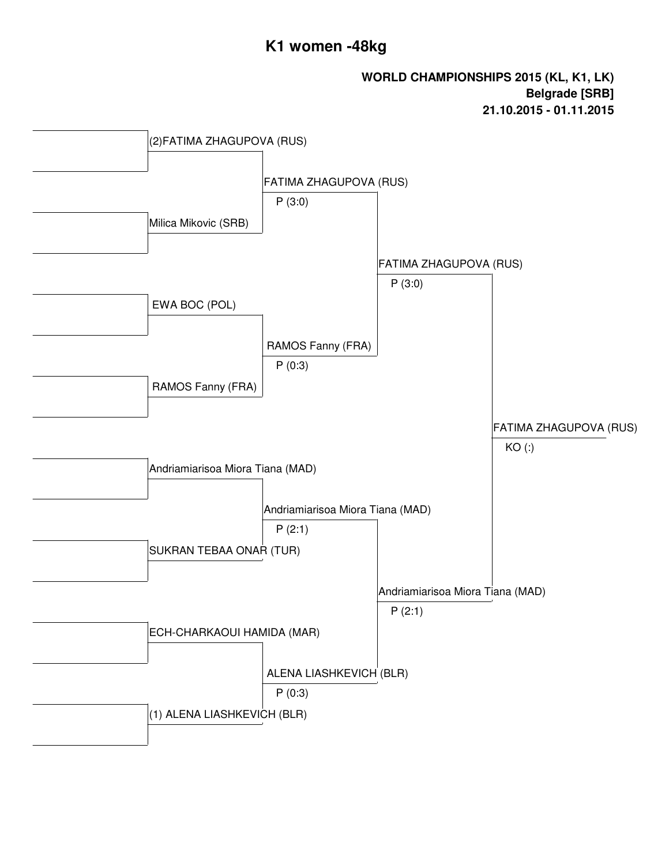# **K1 women -48kg**

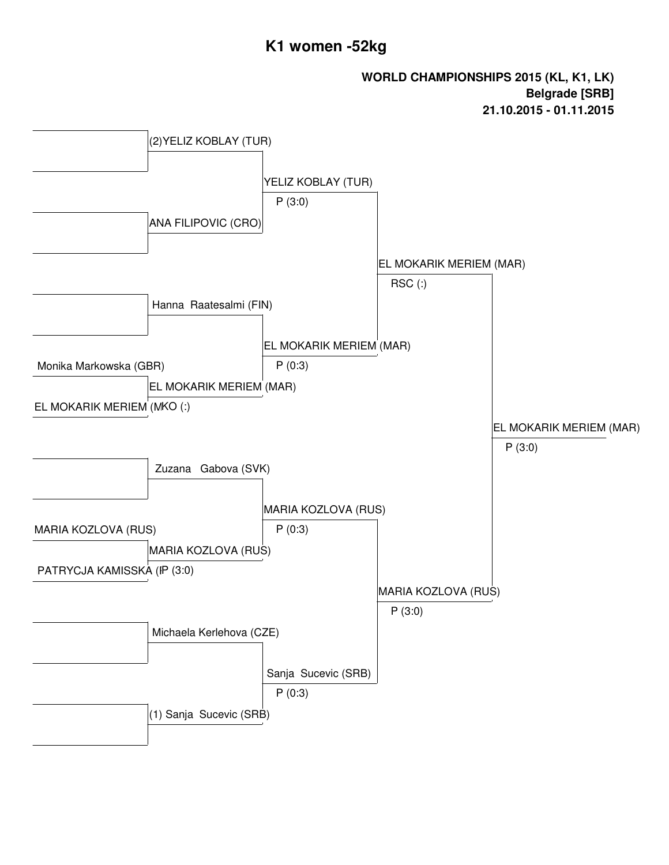## **K1 women -52kg**

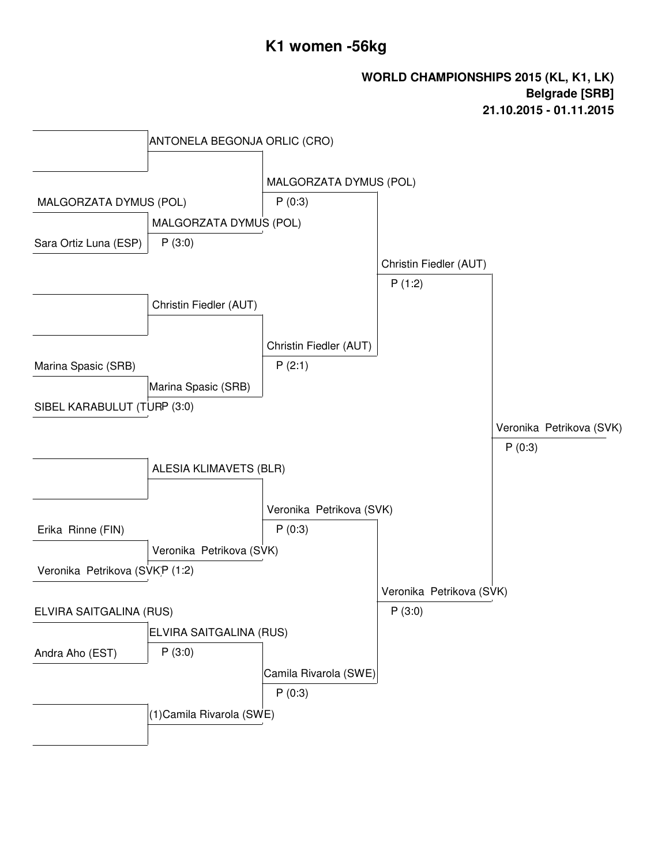# **K1 women -56kg**

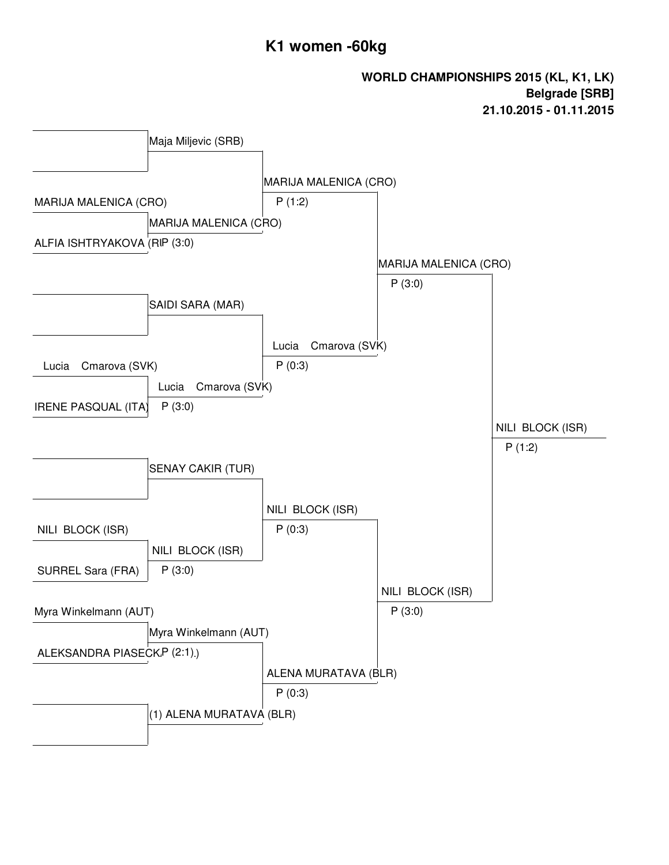## **K1 women -60kg**

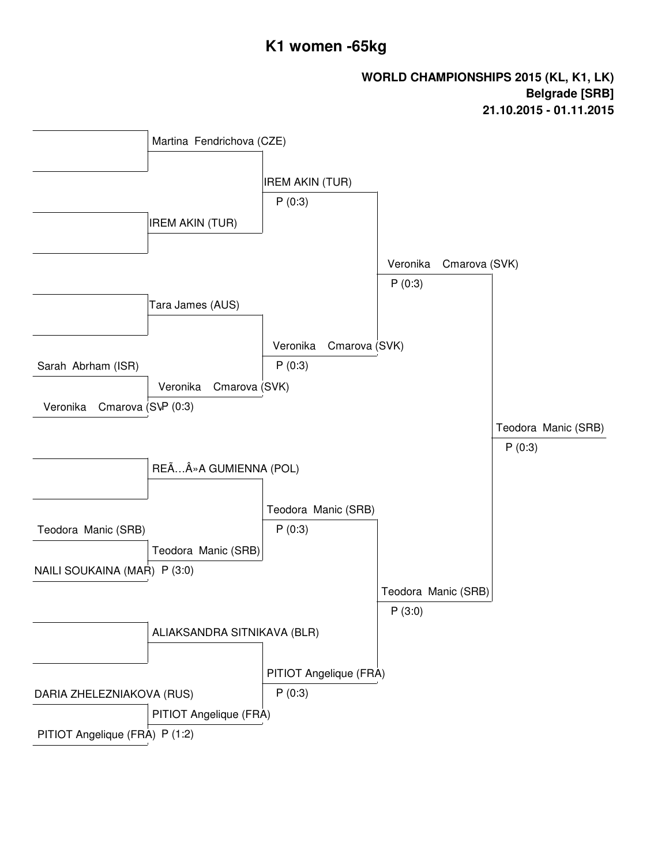# **K1 women -65kg**

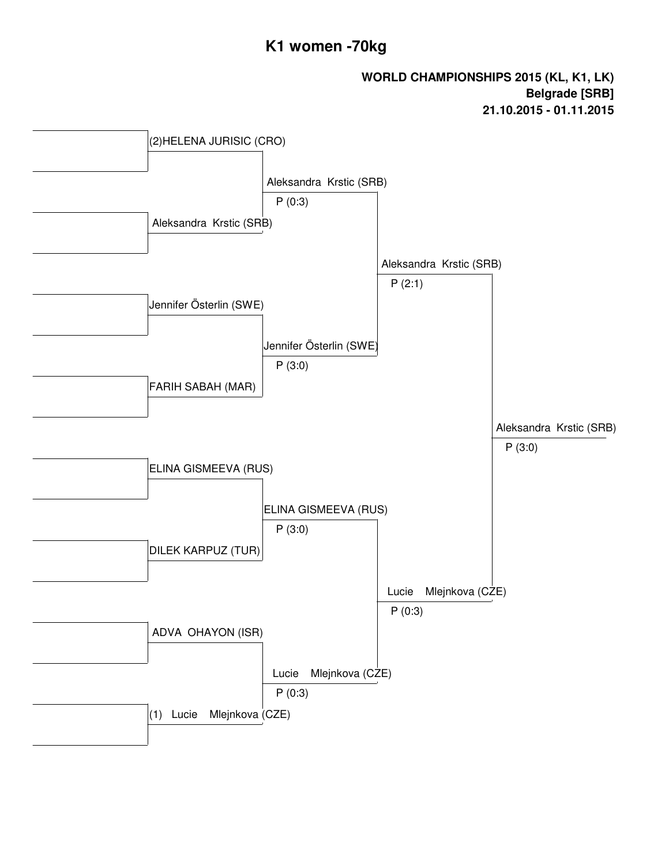# **K1 women -70kg**

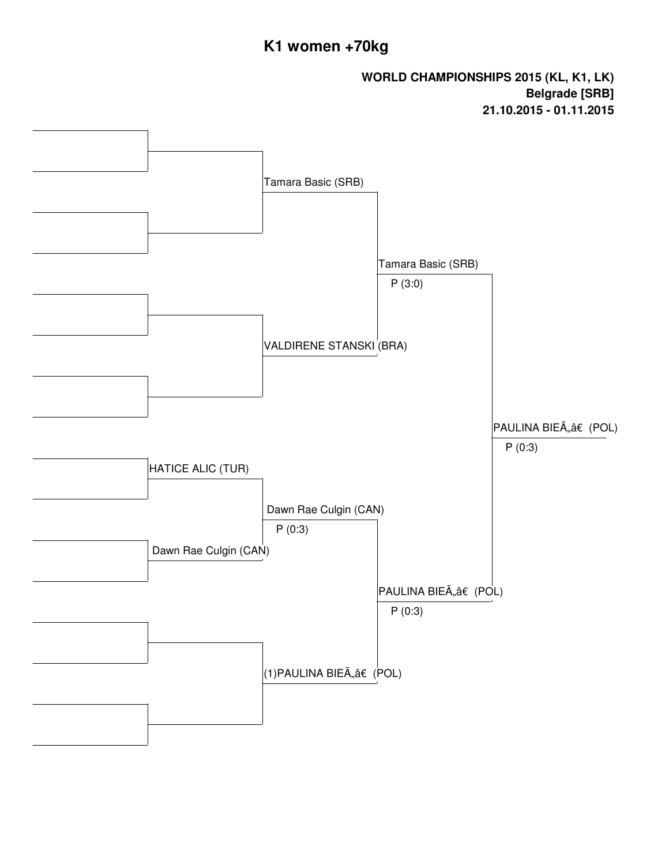# **K1 women +70kg**

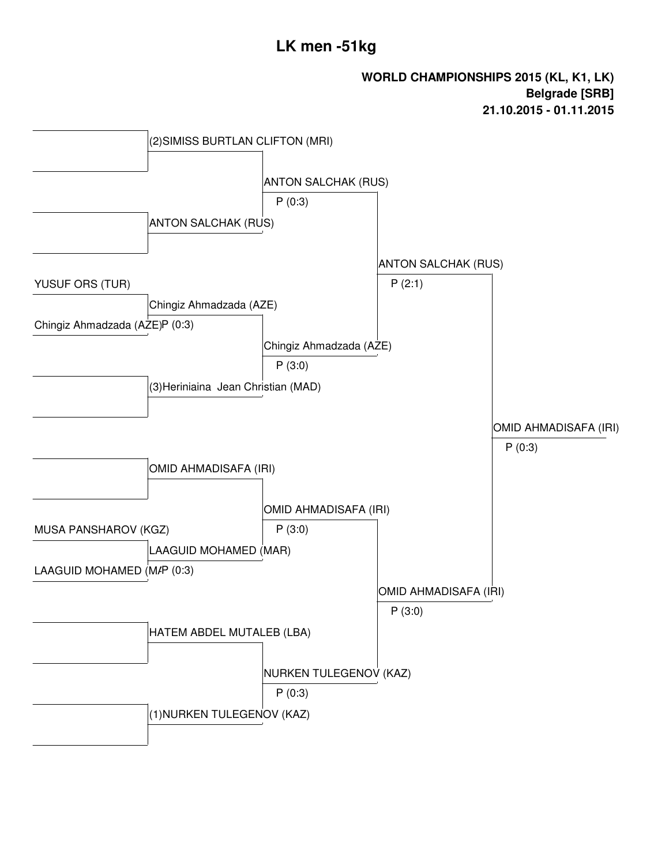# **LK men -51kg**

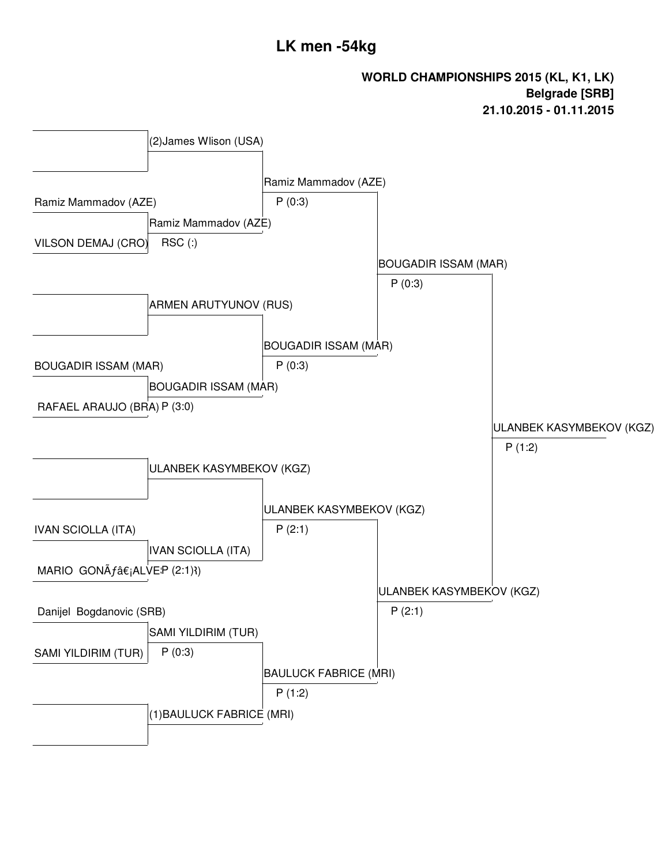# **LK men -54kg**

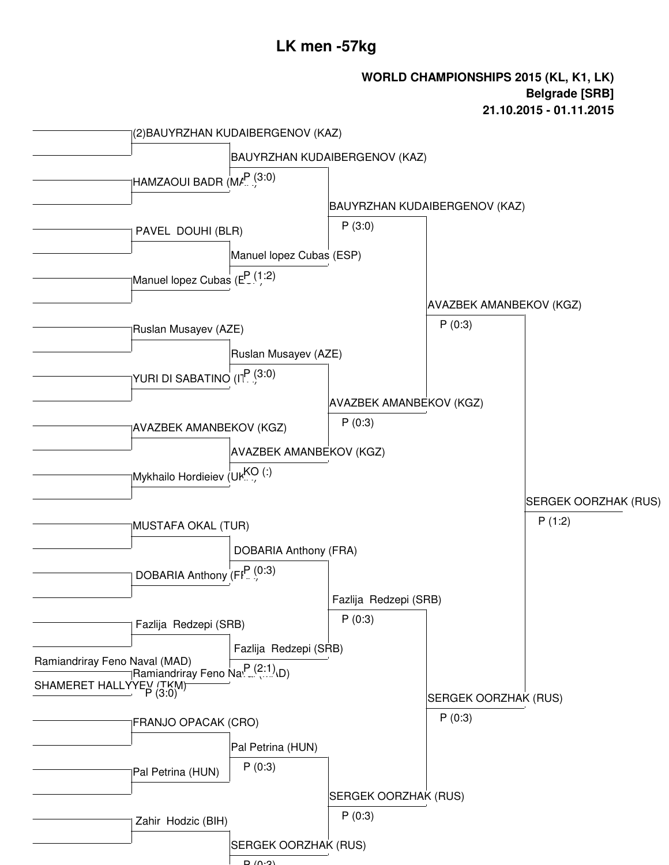## **LK men -57kg**

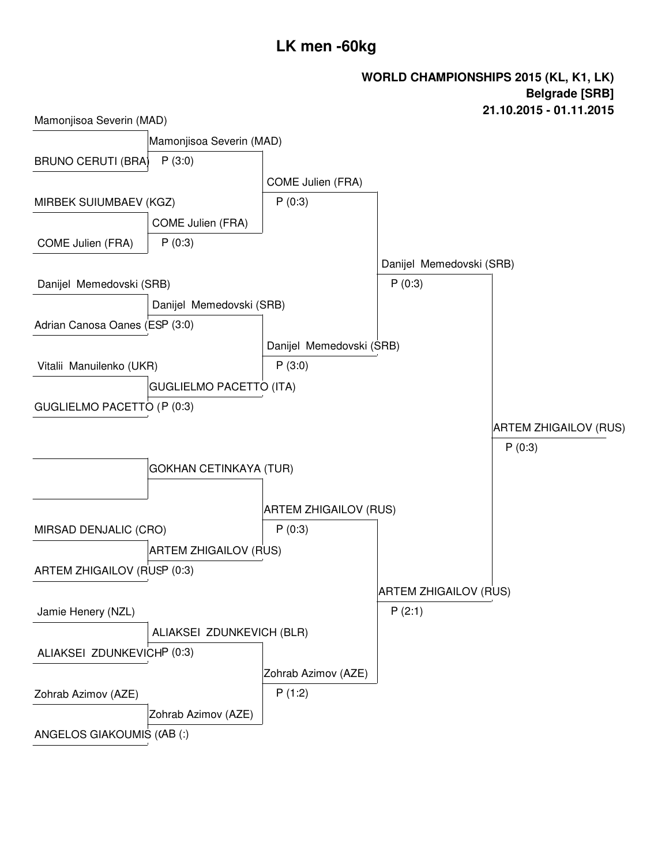# **LK men -60kg**

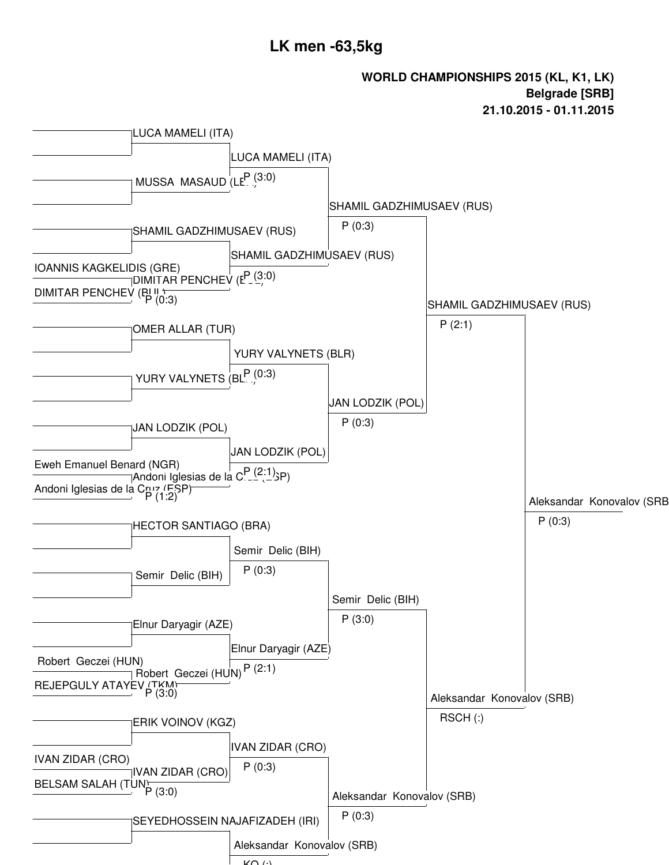### **LK men -63,5kg**



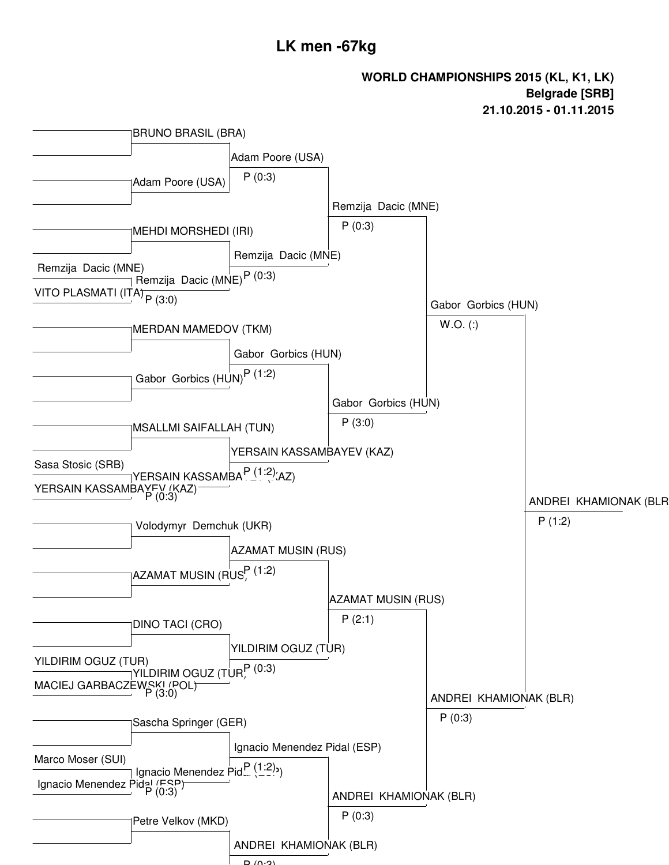### **LK men -67kg**

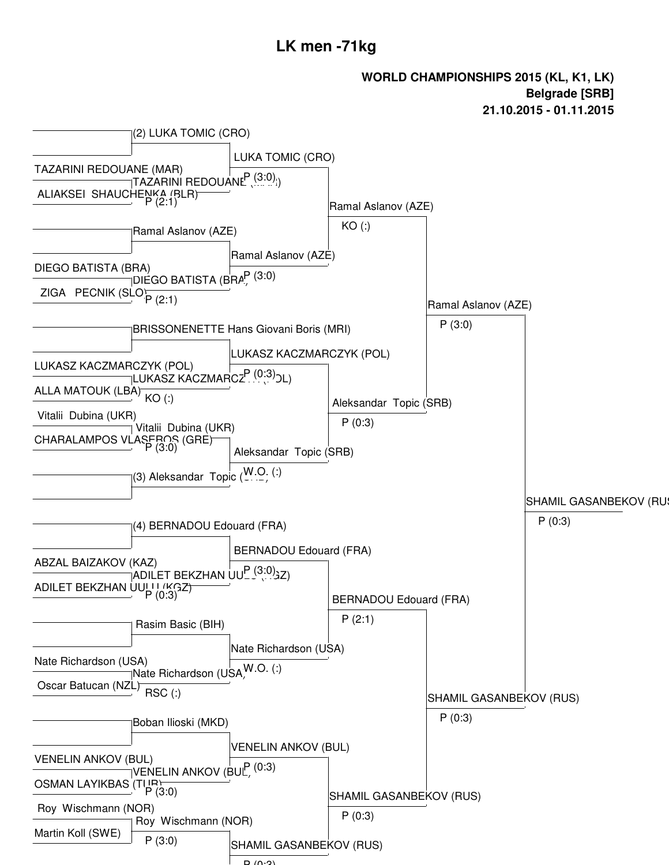### **LK men -71kg**

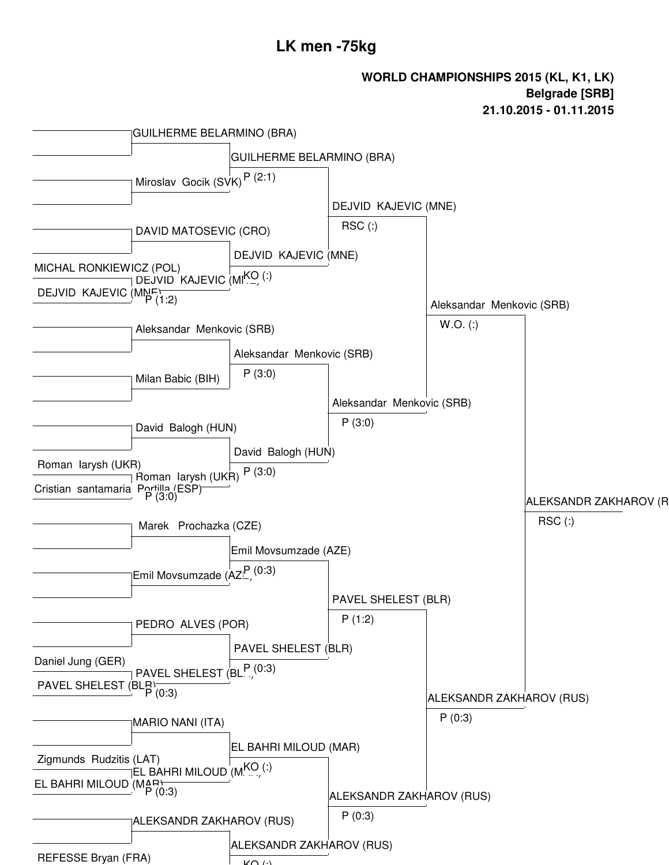### **LK men -75kg**

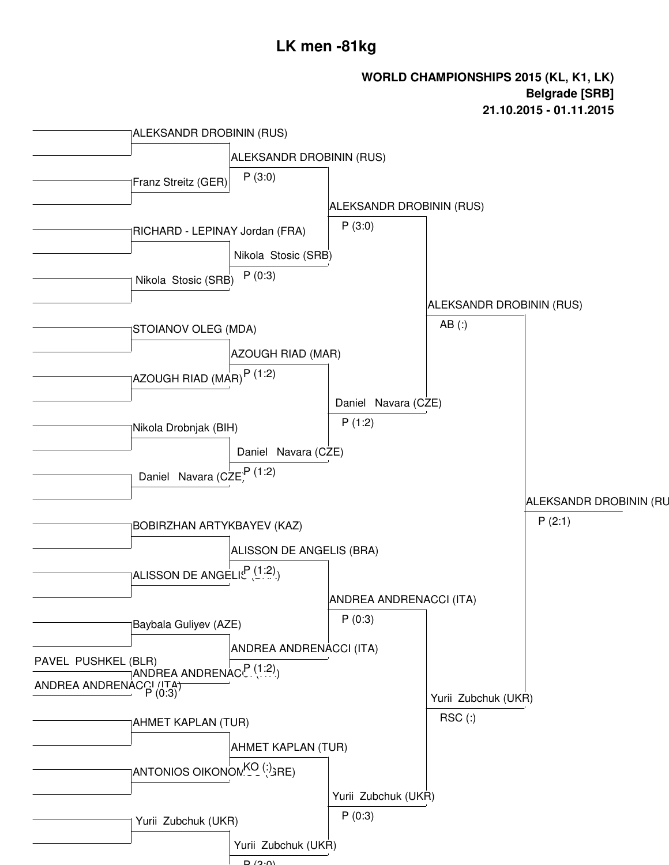# **LK men -81kg**

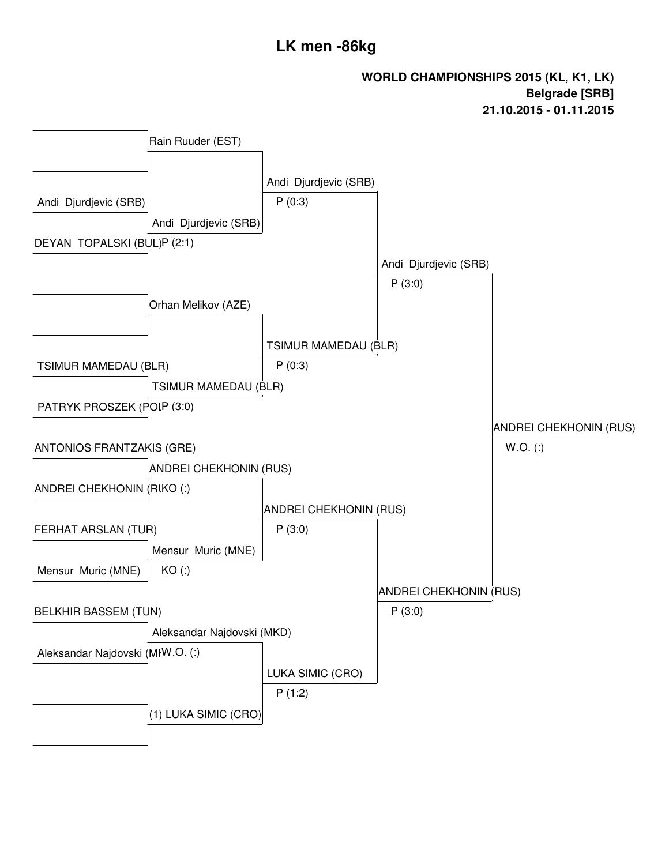# **LK men -86kg**

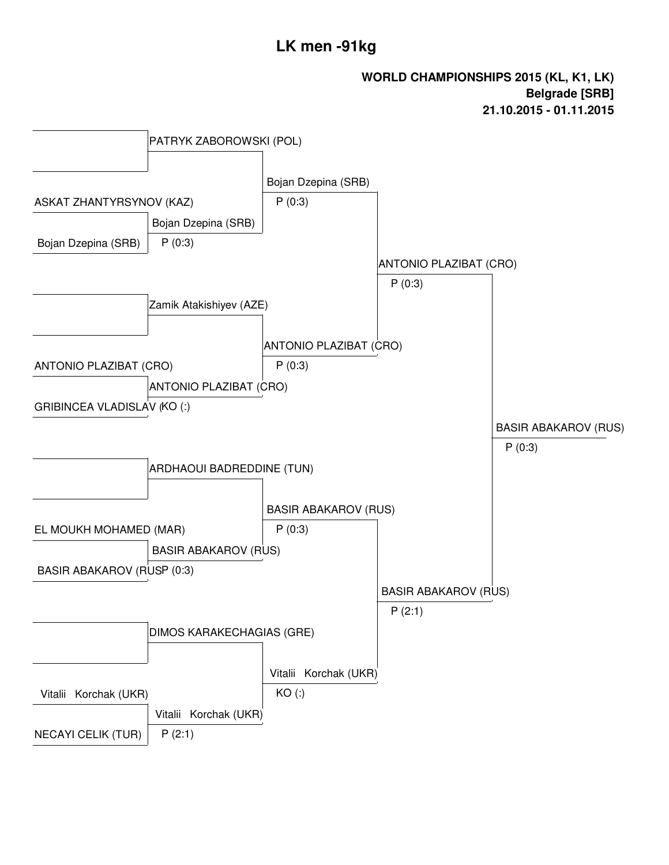# **LK men -91kg**

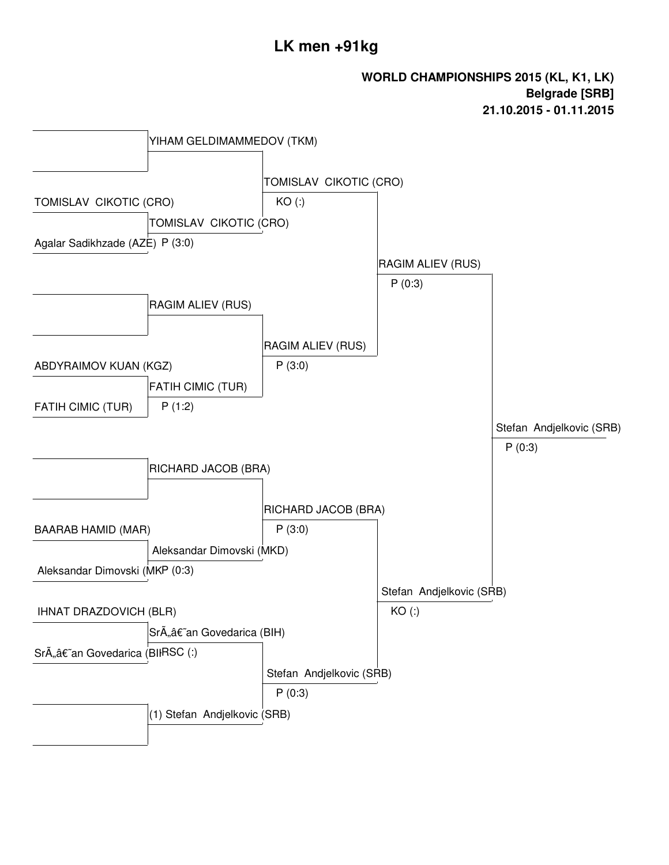# **LK men +91kg**

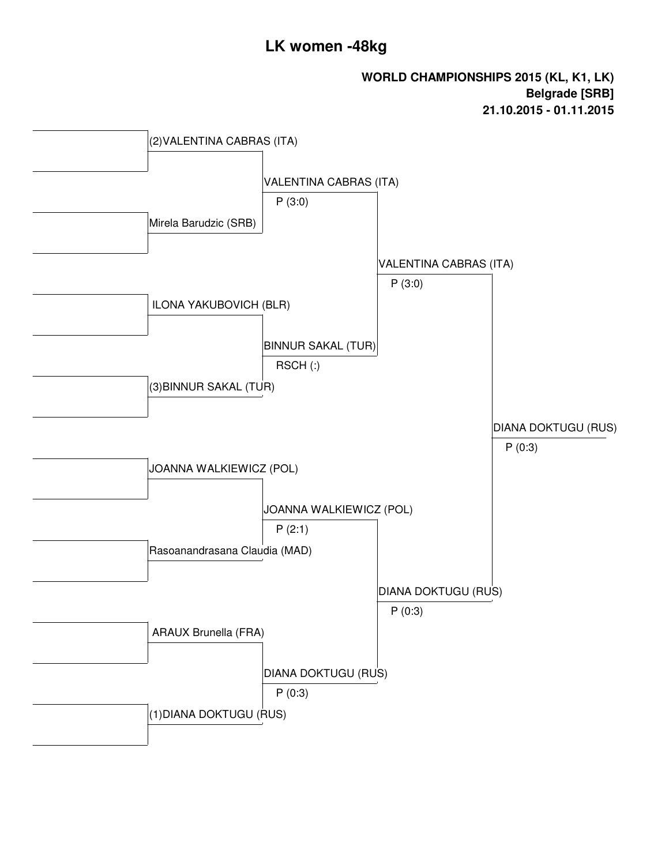# **LK women -48kg**

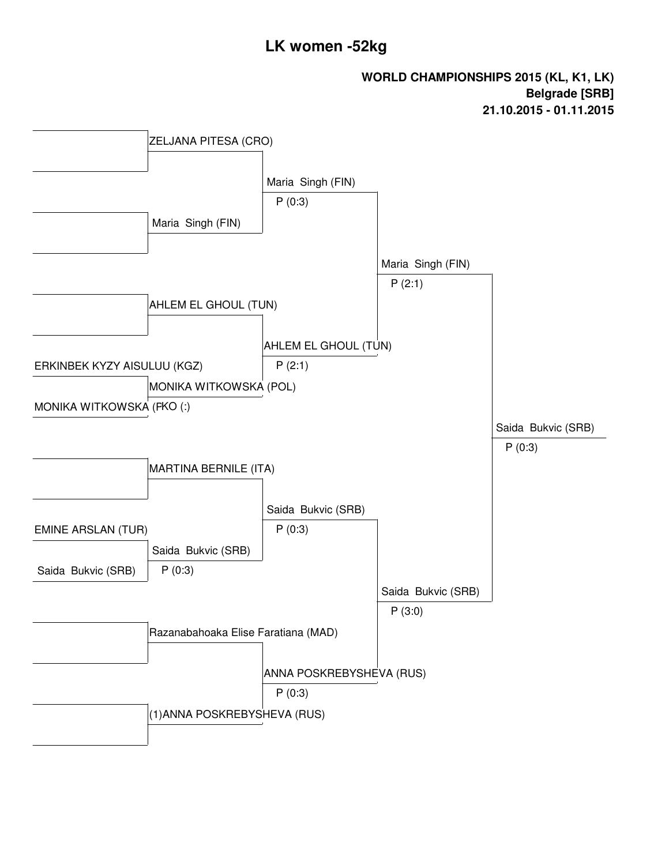# **LK women -52kg**

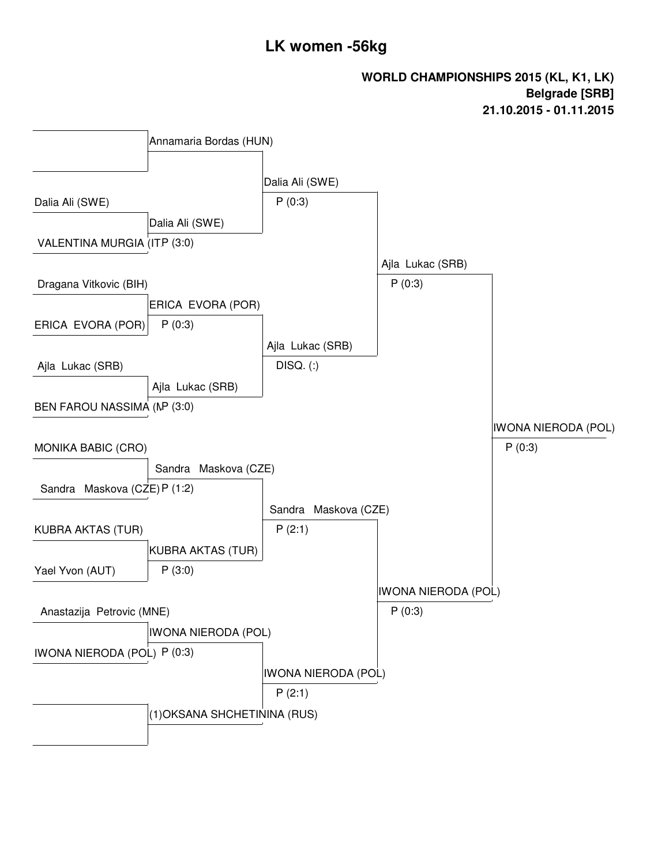# **LK women -56kg**

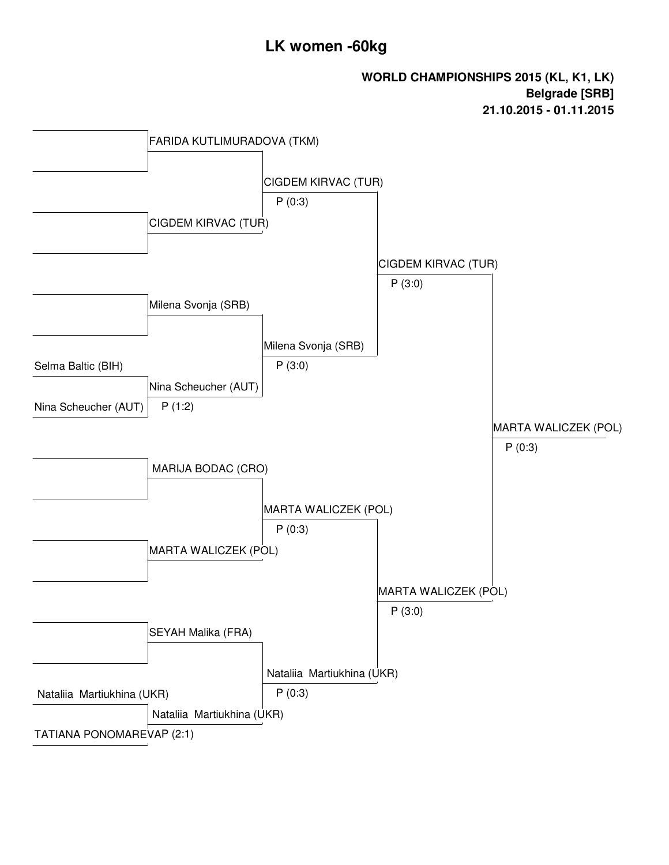# **LK women -60kg**

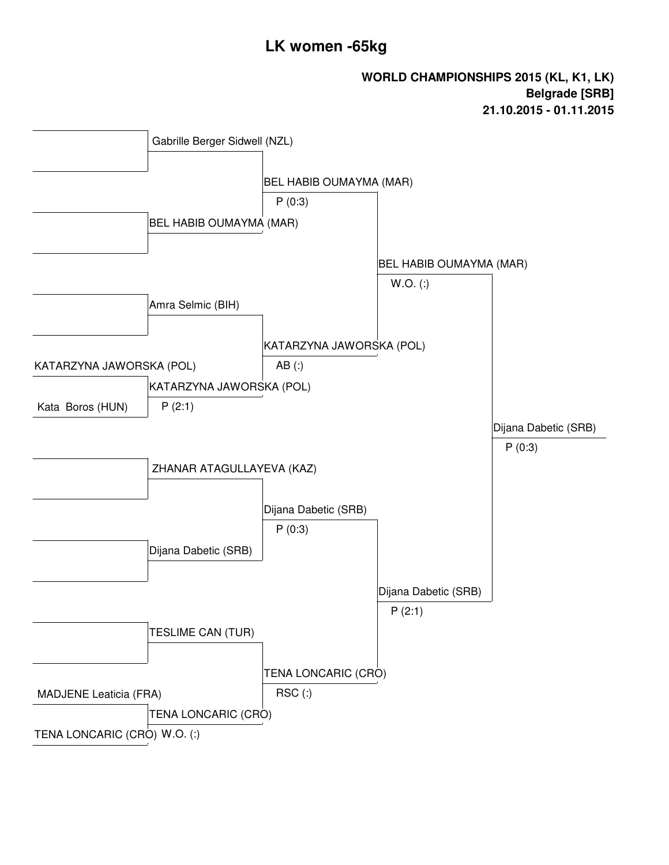# **LK women -65kg**

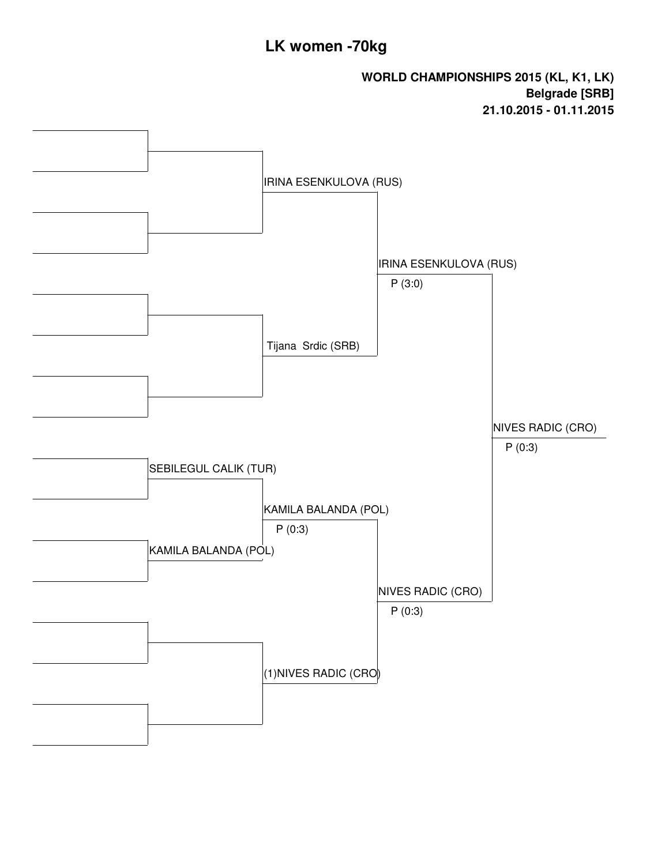# **LK women -70kg**

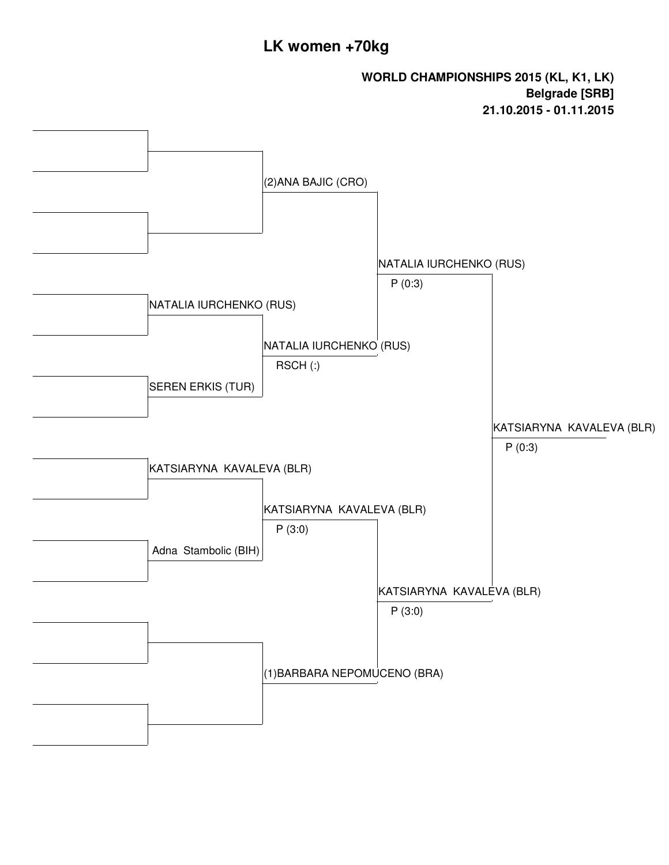# **LK women +70kg**

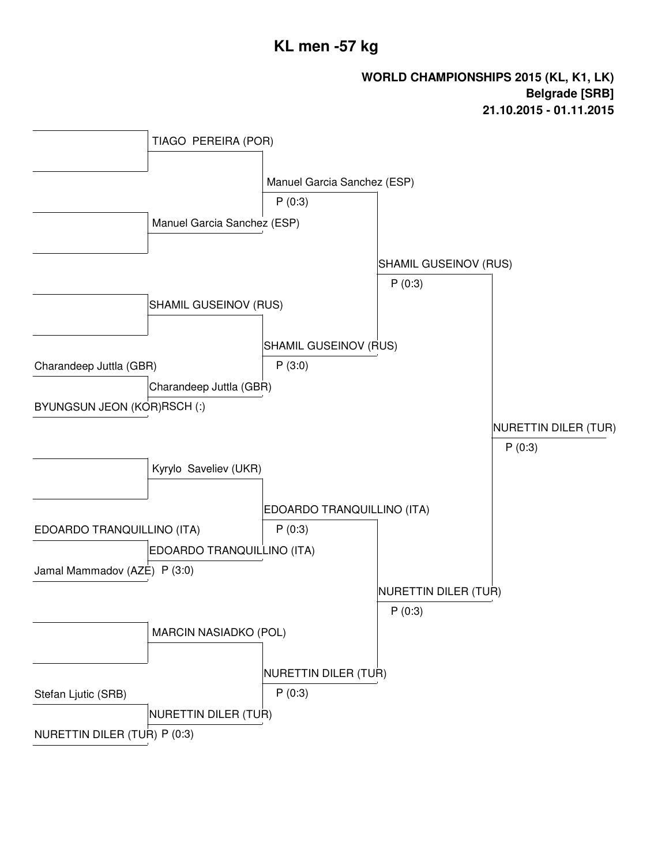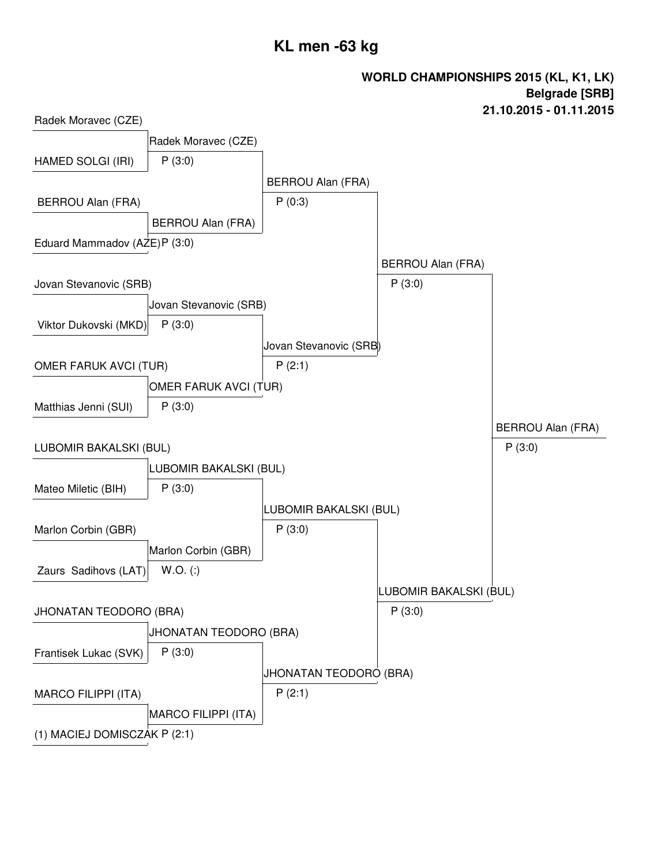# **KL men -63 kg**

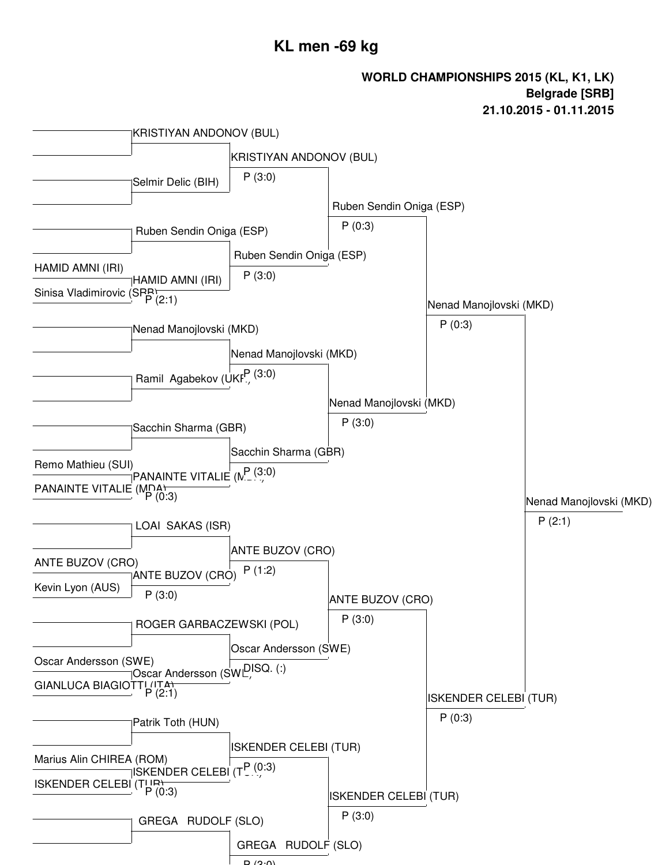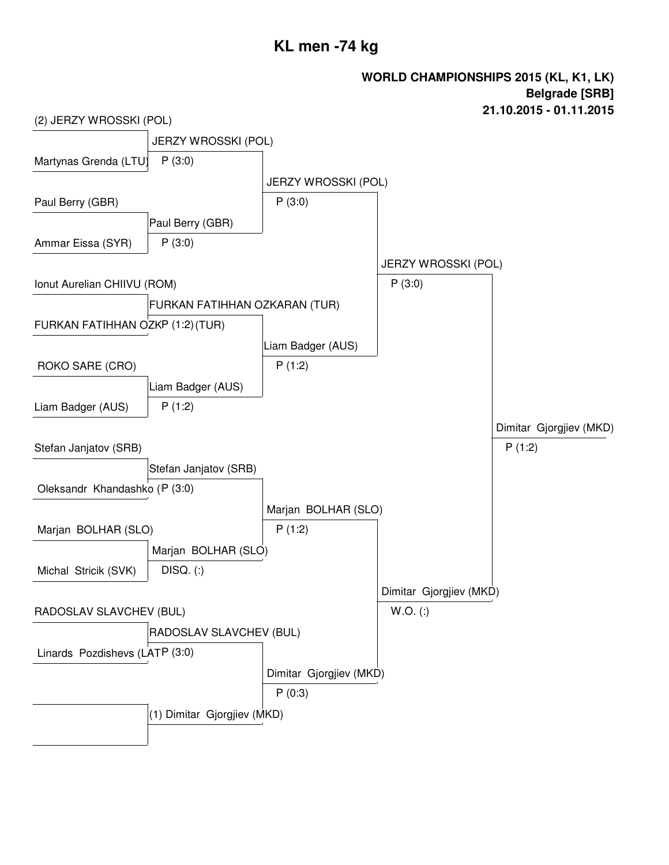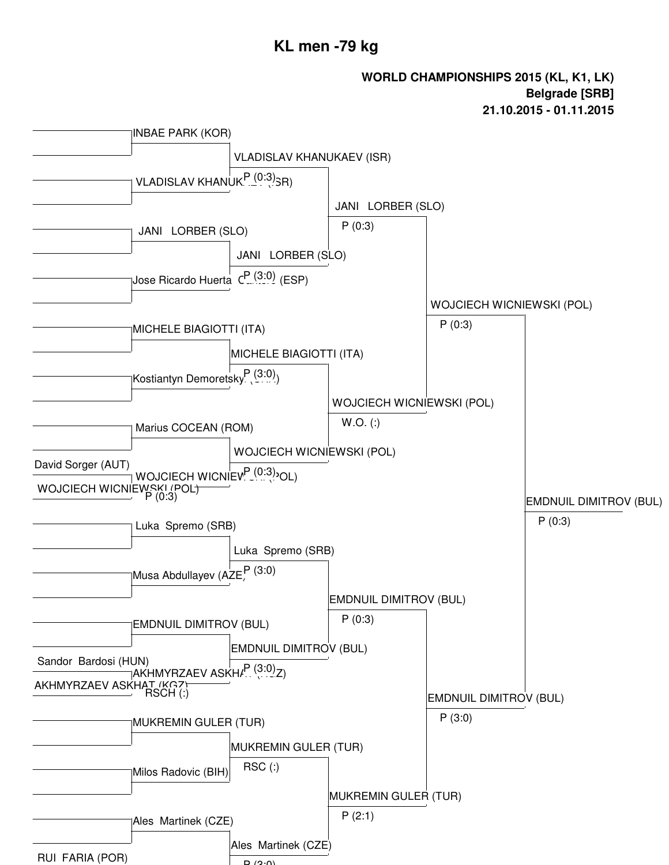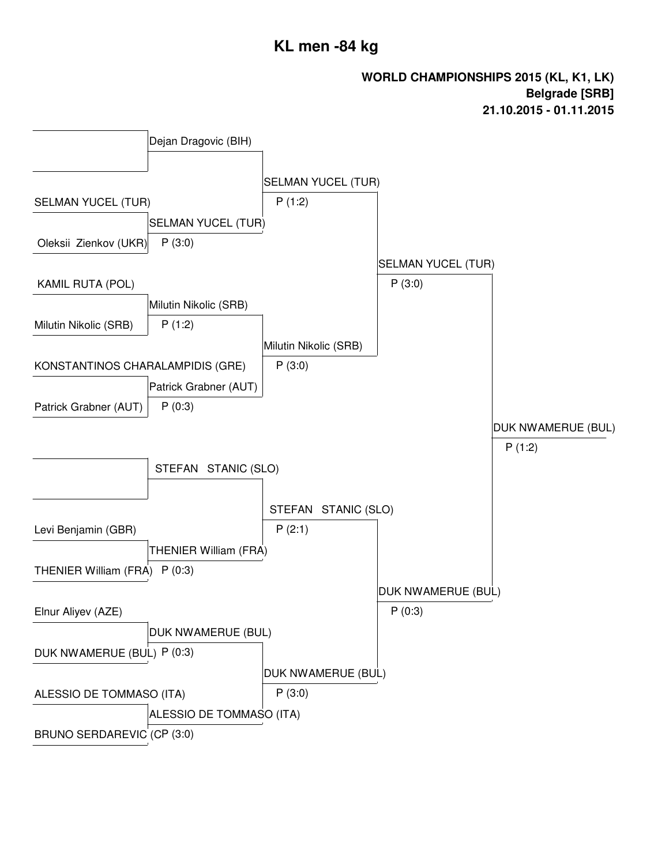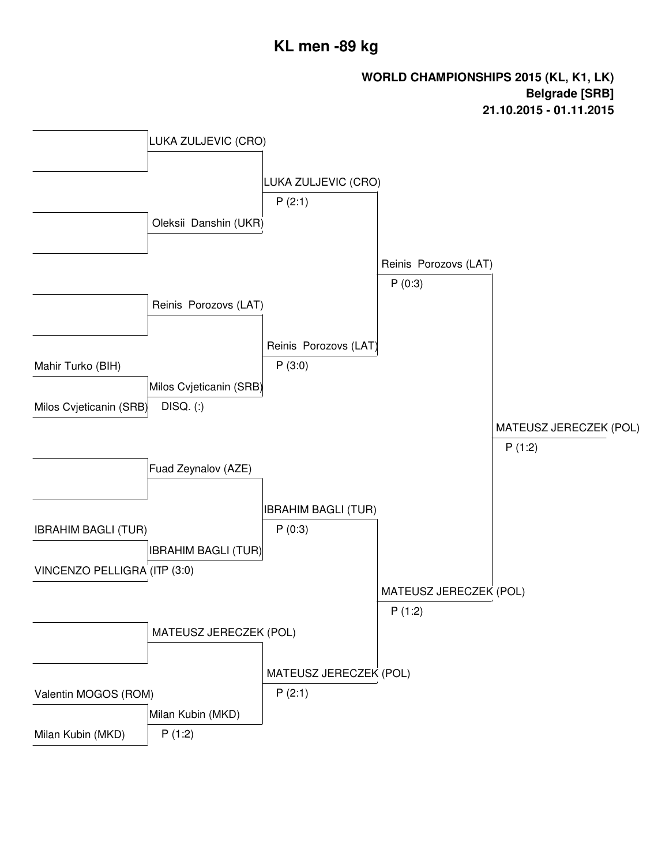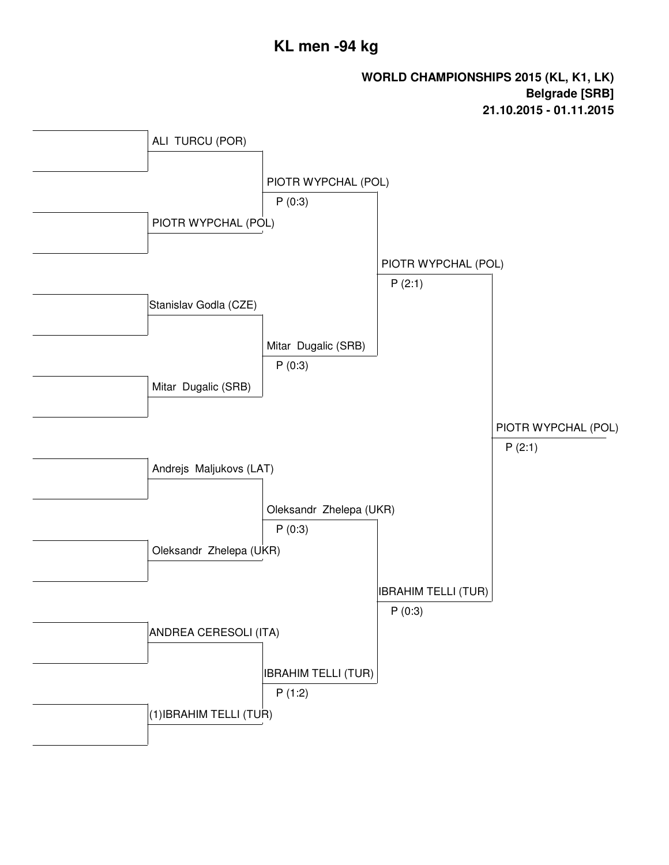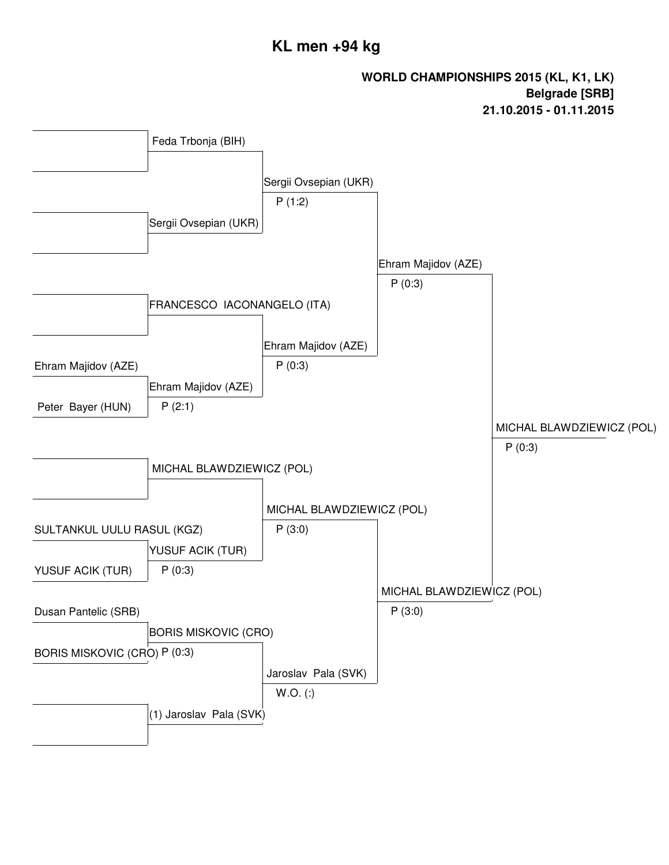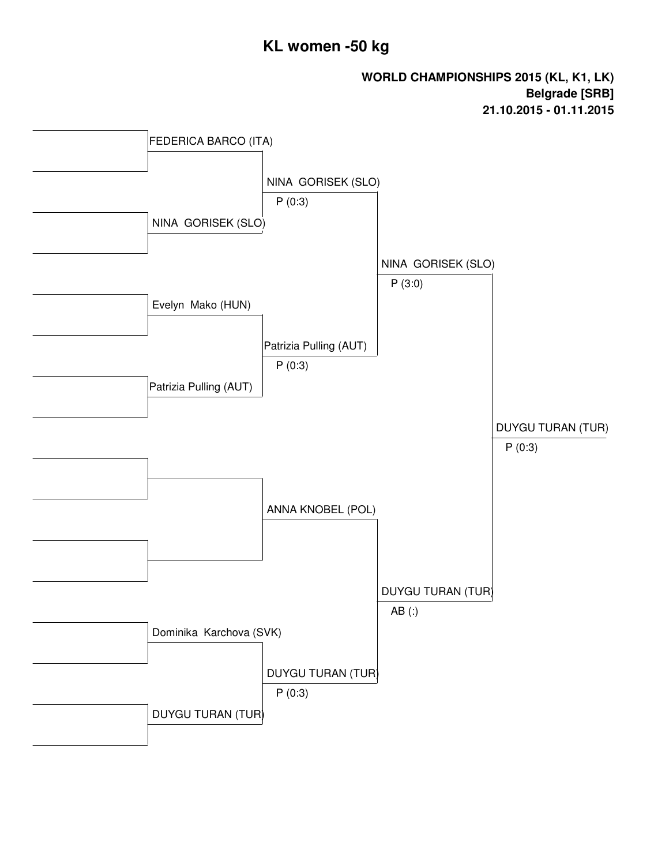### **KL women -50 kg**

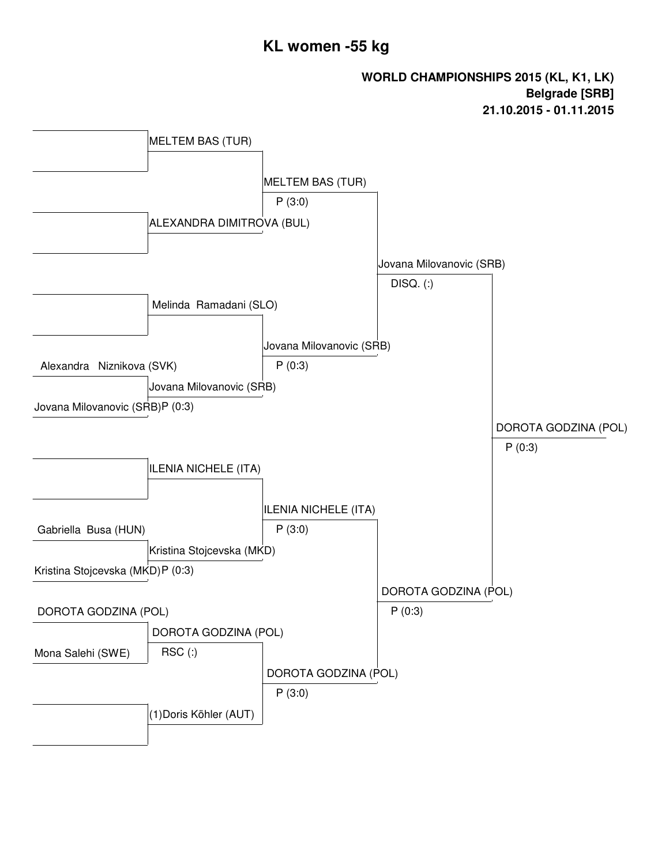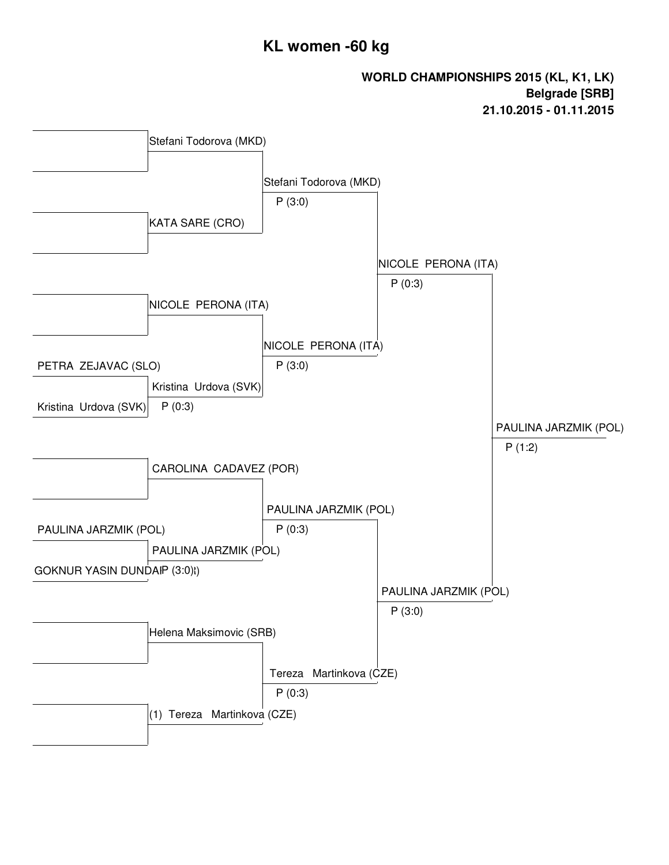### **KL women -60 kg**

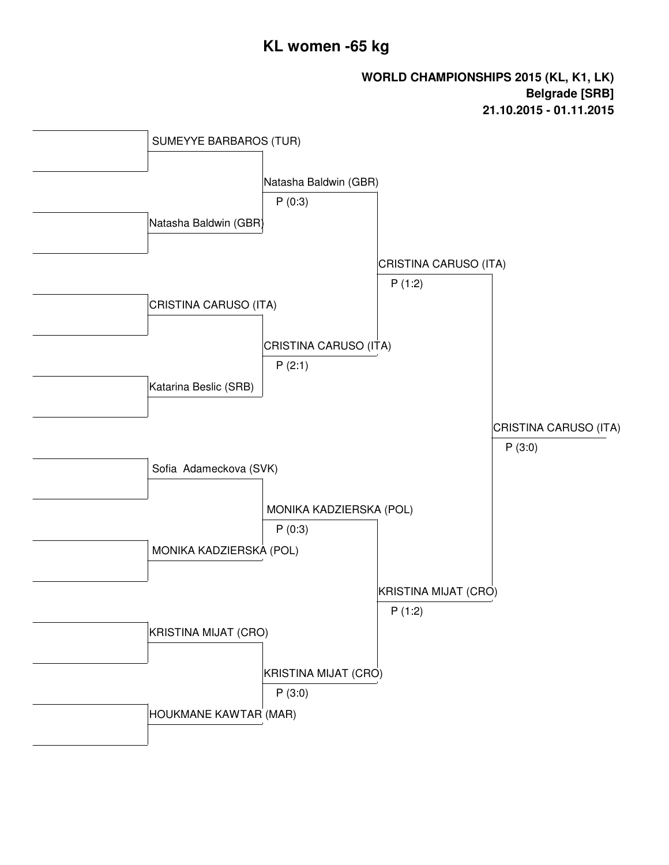### **KL women -65 kg**

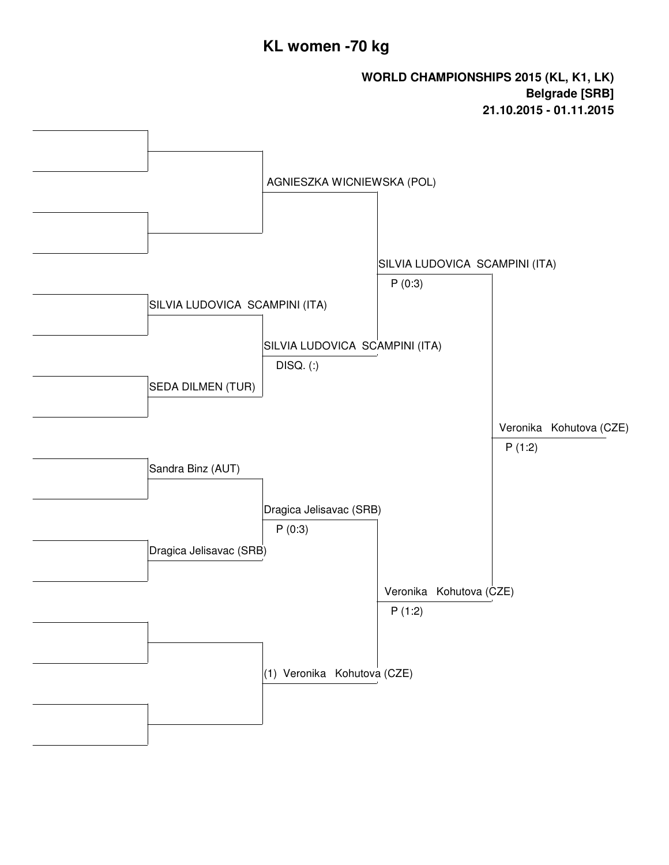### **KL women -70 kg**